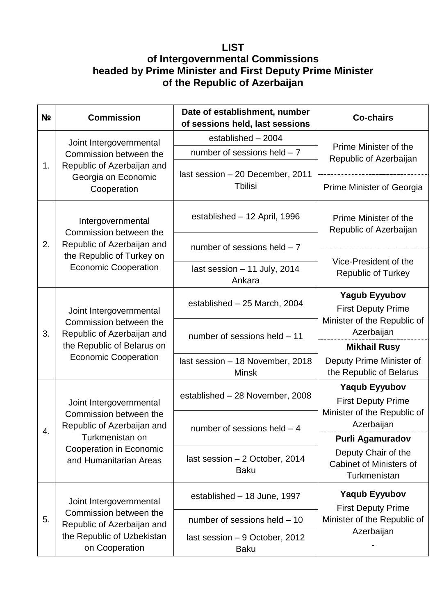## **LIST**

## **of Intergovernmental Commissions headed by Prime Minister and First Deputy Prime Minister of the Republic of Azerbaijan**

| N <sub>2</sub> | <b>Commission</b>                                                                                                                                       | Date of establishment, number<br>of sessions held, last sessions | <b>Co-chairs</b>                                               |
|----------------|---------------------------------------------------------------------------------------------------------------------------------------------------------|------------------------------------------------------------------|----------------------------------------------------------------|
| 1.             | Joint Intergovernmental<br>Commission between the<br>Republic of Azerbaijan and<br>Georgia on Economic<br>Cooperation                                   | established - 2004                                               | Prime Minister of the<br>Republic of Azerbaijan                |
|                |                                                                                                                                                         | number of sessions held $-7$                                     |                                                                |
|                |                                                                                                                                                         | last session - 20 December, 2011<br>Tbilisi                      | Prime Minister of Georgia                                      |
| 2.             | Intergovernmental<br>Commission between the<br>Republic of Azerbaijan and<br>the Republic of Turkey on<br><b>Economic Cooperation</b>                   | established - 12 April, 1996                                     | Prime Minister of the<br>Republic of Azerbaijan                |
|                |                                                                                                                                                         | number of sessions held $-7$                                     |                                                                |
|                |                                                                                                                                                         | last session - 11 July, 2014<br>Ankara                           | Vice-President of the<br><b>Republic of Turkey</b>             |
| 3.             | Joint Intergovernmental<br>Commission between the<br>Republic of Azerbaijan and<br>the Republic of Belarus on<br><b>Economic Cooperation</b>            | established - 25 March, 2004                                     | <b>Yagub Eyyubov</b><br><b>First Deputy Prime</b>              |
|                |                                                                                                                                                         | number of sessions held - 11                                     | Minister of the Republic of<br>Azerbaijan                      |
|                |                                                                                                                                                         |                                                                  | <b>Mikhail Rusy</b>                                            |
|                |                                                                                                                                                         | last session - 18 November, 2018<br><b>Minsk</b>                 | Deputy Prime Minister of<br>the Republic of Belarus            |
|                | Joint Intergovernmental<br>Commission between the<br>Republic of Azerbaijan and<br>Turkmenistan on<br>Cooperation in Economic<br>and Humanitarian Areas | established - 28 November, 2008                                  | <b>Yaqub Eyyubov</b>                                           |
|                |                                                                                                                                                         |                                                                  | <b>First Deputy Prime</b><br>Minister of the Republic of       |
|                |                                                                                                                                                         | number of sessions held - 4                                      | Azerbaijan                                                     |
| 4.             |                                                                                                                                                         |                                                                  | <b>Purli Agamuradov</b>                                        |
|                |                                                                                                                                                         | last session - 2 October, 2014<br><b>Baku</b>                    | Deputy Chair of the<br>Cabinet of Ministers of<br>Turkmenistan |
|                | Joint Intergovernmental<br>Commission between the<br>Republic of Azerbaijan and<br>the Republic of Uzbekistan<br>on Cooperation                         | established - 18 June, 1997                                      | <b>Yaqub Eyyubov</b>                                           |
| 5.             |                                                                                                                                                         | number of sessions held - 10                                     | <b>First Deputy Prime</b><br>Minister of the Republic of       |
|                |                                                                                                                                                         | last session - 9 October, 2012<br><b>Baku</b>                    | Azerbaijan                                                     |